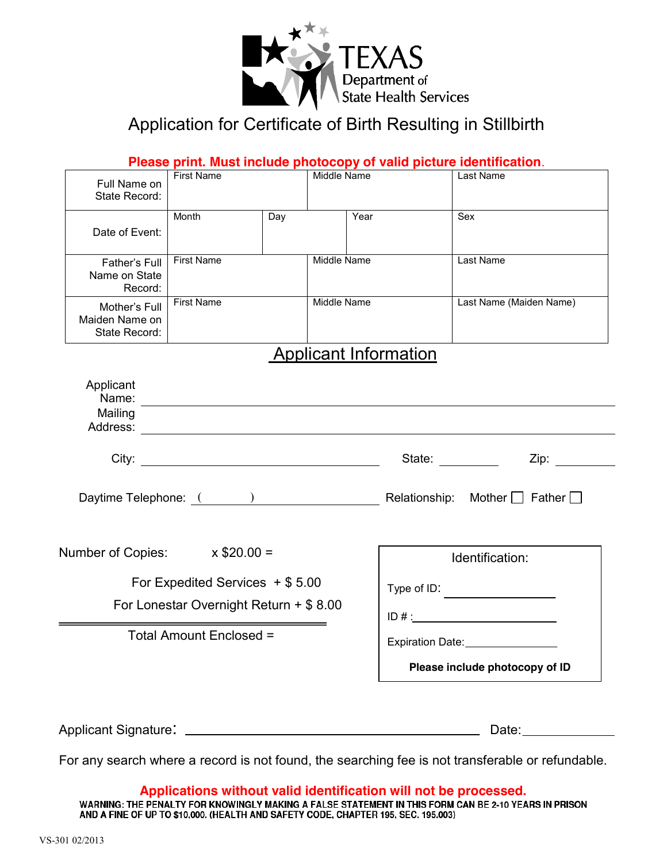

### Application for Certificate of Birth Resulting in Stillbirth

|                                                                               |                                                                                                                       |     |                                |                              | Please print. Must include photocopy of valid picture identification.                                                                                                                                                                                                                                                                                                                                                                                            |
|-------------------------------------------------------------------------------|-----------------------------------------------------------------------------------------------------------------------|-----|--------------------------------|------------------------------|------------------------------------------------------------------------------------------------------------------------------------------------------------------------------------------------------------------------------------------------------------------------------------------------------------------------------------------------------------------------------------------------------------------------------------------------------------------|
| Full Name on<br>State Record:                                                 | <b>First Name</b>                                                                                                     |     | Middle Name                    |                              | Last Name                                                                                                                                                                                                                                                                                                                                                                                                                                                        |
| Date of Event:                                                                | Month                                                                                                                 | Day | Year                           |                              | Sex                                                                                                                                                                                                                                                                                                                                                                                                                                                              |
| Father's Full<br>Name on State<br>Record:                                     | <b>First Name</b>                                                                                                     |     | Middle Name                    |                              | Last Name                                                                                                                                                                                                                                                                                                                                                                                                                                                        |
| Mother's Full<br>Maiden Name on<br>State Record:                              | <b>First Name</b>                                                                                                     |     | Middle Name                    |                              | Last Name (Maiden Name)                                                                                                                                                                                                                                                                                                                                                                                                                                          |
|                                                                               |                                                                                                                       |     |                                | <b>Applicant Information</b> |                                                                                                                                                                                                                                                                                                                                                                                                                                                                  |
| Applicant<br>Name:<br>Mailing                                                 | <u> 1989 - Johann Harry Harry Harry Harry Harry Harry Harry Harry Harry Harry Harry Harry Harry Harry Harry Harry</u> |     |                                |                              |                                                                                                                                                                                                                                                                                                                                                                                                                                                                  |
|                                                                               |                                                                                                                       |     |                                |                              | State: and the state of the state of the state of the state of the state of the state of the state of the state of the state of the state of the state of the state of the state of the state of the state of the state of the<br>Zip: will be a series of the series of the series of the series of the series of the series of the series of the series of the series of the series of the series of the series of the series of the series of the series of t |
|                                                                               |                                                                                                                       |     |                                |                              | Daytime Telephone: ( ) Nother Development Relationship: Mother D Father D                                                                                                                                                                                                                                                                                                                                                                                        |
| Number of Copies: $x $20.00 =$                                                |                                                                                                                       |     |                                | Identification:              |                                                                                                                                                                                                                                                                                                                                                                                                                                                                  |
| For Expedited Services $+$ \$ 5.00<br>For Lonestar Overnight Return + \$ 8.00 |                                                                                                                       |     |                                | Type of ID: $\_\_$<br>ID#:   |                                                                                                                                                                                                                                                                                                                                                                                                                                                                  |
| Total Amount Enclosed =                                                       |                                                                                                                       |     | <b>Expiration Date:</b>        |                              |                                                                                                                                                                                                                                                                                                                                                                                                                                                                  |
|                                                                               |                                                                                                                       |     | Please include photocopy of ID |                              |                                                                                                                                                                                                                                                                                                                                                                                                                                                                  |
|                                                                               |                                                                                                                       |     |                                |                              | Date: $\overline{\phantom{a}}$                                                                                                                                                                                                                                                                                                                                                                                                                                   |

For any search where a record is not found, the searching fee is not transferable or refundable.

# **Applications without valid identification will not be processed.<br>WARNING: THE PENALTY FOR KNOWINGLY MAKING A FALSE STATEMENT IN THIS FORM CAN BE 2-10 YEARS IN PRISON**

AND A FINE OF UP TO \$10,000. (HEALTH AND SAFETY CODE, CHAPTER 195, SEC. 195.003)